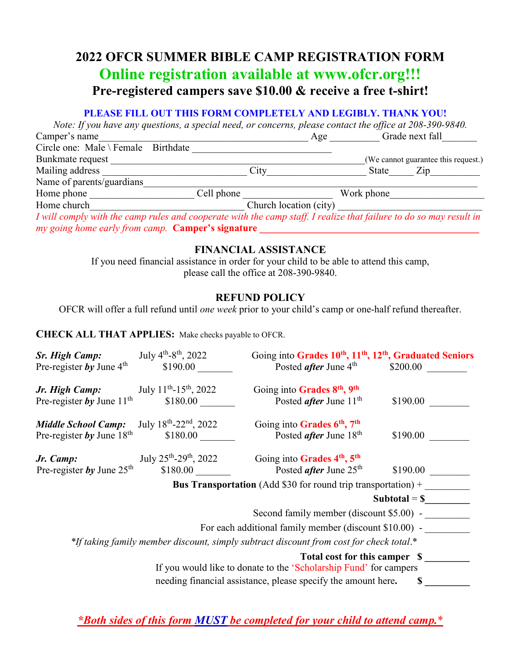# **2022 OFCR SUMMER BIBLE CAMP REGISTRATION FORM Online registration available at www.ofcr.org!!! Pre-registered campers save \$10.00 & receive a free t-shirt!**

#### **PLEASE FILL OUT THIS FORM COMPLETELY AND LEGIBLY. THANK YOU!**

*Note: If you have any questions, a special need, or concerns, please contact the office at 208-390-9840.* Camper's name Camper's name Circle one: Male \ Female Birthdate \_\_\_\_\_\_\_\_\_\_\_\_\_\_\_\_\_\_\_\_\_\_\_\_\_\_\_\_ Bunkmate request \_\_\_\_\_\_\_\_\_\_\_\_\_\_\_\_\_\_\_\_\_\_\_\_\_\_\_\_\_\_\_\_\_\_\_\_\_\_\_\_\_\_\_\_\_\_\_\_\_\_\_(We cannot guarantee this request.) Mailing address \_\_\_\_\_\_\_\_\_\_\_\_\_\_\_\_\_\_\_\_\_\_\_\_\_\_\_\_\_ City\_\_\_\_\_\_\_\_\_\_\_\_\_\_\_\_\_\_\_\_ State\_\_\_\_\_ Zip\_\_\_\_\_\_\_\_\_\_ Name of parents/guardians Home phone \_\_\_\_\_\_\_\_\_\_\_\_\_\_\_\_\_\_\_\_\_ Cell phone \_\_\_\_\_\_\_\_\_\_\_\_\_\_\_\_\_\_ Work phone\_\_\_\_\_\_\_\_\_\_\_\_\_\_\_\_\_\_\_ Home church the church church church location (city)  $\Box$  Church location (city)  $\Box$ *I will comply with the camp rules and cooperate with the camp staff. I realize that failure to do so may result in my going home early from camp.* **Camper's signature \_\_\_\_\_\_\_\_\_\_\_\_\_\_\_\_\_\_\_\_\_\_\_\_\_\_\_\_\_\_\_\_\_\_\_\_\_\_\_\_\_\_\_\_**

## **FINANCIAL ASSISTANCE**

If you need financial assistance in order for your child to be able to attend this camp, please call the office at 208-390-9840.

## **REFUND POLICY**

OFCR will offer a full refund until *one week* prior to your child's camp or one-half refund thereafter.

#### **CHECK ALL THAT APPLIES:** Make checks payable to OFCR.

| <b>Sr. High Camp:</b><br>Pre-register by June $4th$ | July 4 <sup>th</sup> -8 <sup>th</sup> , 2022<br>\$190.00 | Going into Grades 10 <sup>th</sup> , 11 <sup>th</sup> , 12 <sup>th</sup> , Graduated Seniors<br>Posted <i>after</i> June 4 <sup>th</sup> | \$200.00        |
|-----------------------------------------------------|----------------------------------------------------------|------------------------------------------------------------------------------------------------------------------------------------------|-----------------|
| Jr. High Camp:                                      | July 11 <sup>th</sup> -15 <sup>th</sup> , 2022           | Going into Grades 8 <sup>th</sup> , 9 <sup>th</sup>                                                                                      |                 |
| Pre-register by June $11^{\text{th}}$               | \$180.00                                                 | Posted <i>after</i> June 11 <sup>th</sup>                                                                                                | \$190.00        |
| <b>Middle School Camp:</b>                          | July 18th-22 <sup>nd</sup> , 2022                        | Going into Grades 6 <sup>th</sup> , 7 <sup>th</sup>                                                                                      |                 |
| Pre-register by June $18th$                         | \$180.00                                                 | Posted <i>after</i> June $18th$                                                                                                          | \$190.00        |
| Jr. Camp:                                           | July $25^{\text{th}} - 29^{\text{th}}$ , 2022            | Going into Grades 4th, 5th                                                                                                               |                 |
| Pre-register by June $25th$                         | \$180.00                                                 | Posted <i>after</i> June $25th$                                                                                                          | \$190.00        |
|                                                     |                                                          | <b>Bus Transportation</b> (Add \$30 for round trip transportation) +                                                                     |                 |
|                                                     |                                                          |                                                                                                                                          | Subtotal $=$ \$ |
|                                                     |                                                          | Second family member (discount \$5.00) -                                                                                                 |                 |
|                                                     |                                                          | For each additional family member (discount \$10.00) -                                                                                   |                 |
|                                                     |                                                          | *If taking family member discount, simply subtract discount from cost for check total.*                                                  |                 |
|                                                     |                                                          | Total cost for this camper \$<br>If you would like to donate to the 'Scholarship Fund' for campers                                       |                 |
|                                                     |                                                          | needing financial assistance, please specify the amount here.                                                                            | S               |

*\*Both sides of this form MUST be completed for your child to attend camp.*\*